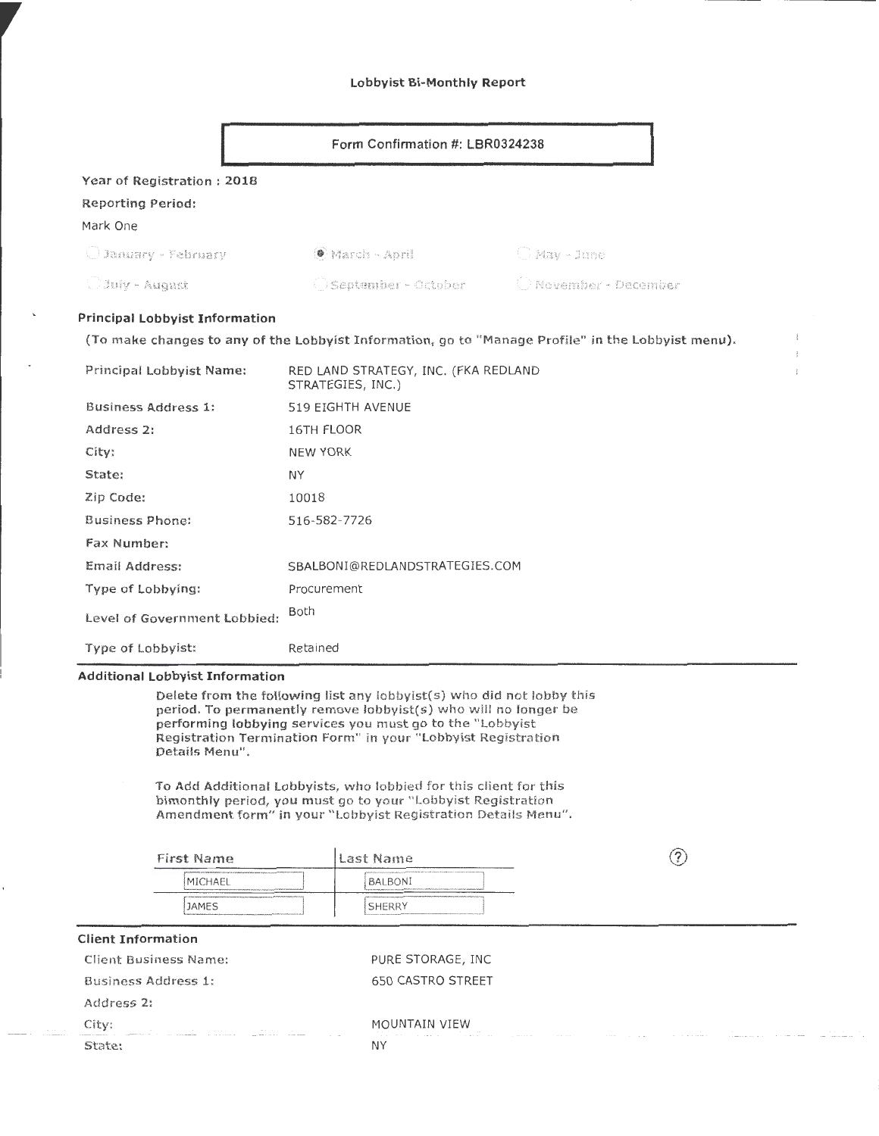## Lobbyist Bi-Monthly Report

 $\frac{1}{2}$ 

| Form Confirmation #: LBR0324238       |                                                           |                                                                                                    |
|---------------------------------------|-----------------------------------------------------------|----------------------------------------------------------------------------------------------------|
| Year of Registration: 2018            |                                                           |                                                                                                    |
| Reporting Period:                     |                                                           |                                                                                                    |
| Mark One                              |                                                           |                                                                                                    |
| $\bigcirc$ January - February         | (O March - April                                          | $G$ May - June                                                                                     |
| $\bigcup$ July - August               |                                                           | $\bigcirc$ September - October $\qquad \bigcirc$ Nevember - December                               |
| <b>Principal Lobbyist Information</b> |                                                           |                                                                                                    |
|                                       |                                                           | (To make changes to any of the Lobbyist Information, go to "Manage Profile" in the Lobbyist menu). |
| Principal Lobbyist Name:              | RED LAND STRATEGY, INC. (FKA REDLAND<br>STRATEGIES, INC.) |                                                                                                    |
| Rucinose Aridrose 1:                  | 519 FIGHTH AVENUE                                         |                                                                                                    |

| Business Address 1:          | 519 EIGHTH AVENUE              |
|------------------------------|--------------------------------|
| Address 2:                   | 16TH FLOOR                     |
| City:                        | <b>NEW YORK</b>                |
| State:                       | NY.                            |
| Zip Code:                    | 10018                          |
| <b>Business Phone:</b>       | 516-582-7726                   |
| Fax Number:                  |                                |
| Email Address:               | SBALBONI@REDLANDSTRATEGIES.COM |
| Type of Lobbying:            | Procurement                    |
| Level of Government Lobbied: | <b>Both</b>                    |

# Additional Lobbyist Information

Type of Lobbyist: Retained

Delete from the following list any lobbyist(s) who did not lobby this period. To permanently remove lobbyist(s) who will no longer be performing lobbying services you must go to the "lobbyist Registration Termination Form" in your "lobbyist Registration Details Menu".

To Add Additional lobbyists, who lobbied for this client for this bimonthly period, you must go to your "Lobbyist Registration Amendment form" in your "Lobbyist Registration Details Menu".

| First Name                                                                                                               | Last Name                                                                                                                          | $\sqrt{2}$ |
|--------------------------------------------------------------------------------------------------------------------------|------------------------------------------------------------------------------------------------------------------------------------|------------|
| ACCOMMON USE REPORTED TO A CONTACT COMPANY PROVINCE ( E ESSA ECONOMICATIVA PORT<br><b>IMICHAEL</b>                       | incontract contract and in the contract of the matrix of the state of the subject to a contract of the theoretic<br><b>BALBONI</b> |            |
| <b>JAMES</b><br>IS EAS AGAINMAN PHOTOGRAPH APPLICATION AND COMPANY ASSESSMENT PROGRAM COMPANY OF THE CONTRACT OF A REAL  | <b>SHERRY</b>                                                                                                                      |            |
| <b>Client Information</b>                                                                                                |                                                                                                                                    |            |
| <b>Client Business Name:</b>                                                                                             | PURE STORAGE, INC                                                                                                                  |            |
| Business Address 1:                                                                                                      | <b>650 CASTRO STREET</b>                                                                                                           |            |
| Address 2:                                                                                                               |                                                                                                                                    |            |
| City:<br>the contract of the contract of the contract of the contract of the contract of the contract of the contract of | MOUNTAIN VIEW                                                                                                                      |            |

State: NY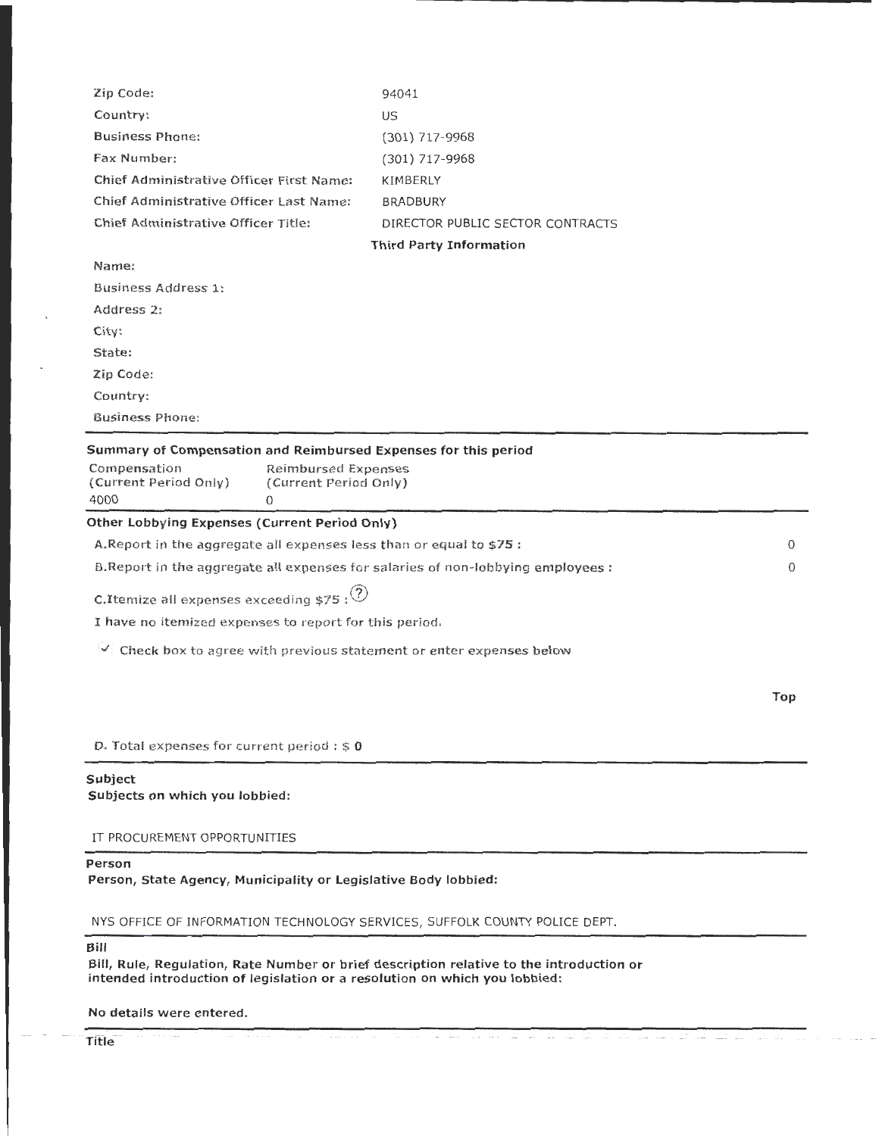| Zip Code:                                                                                                                                                             | 94041                            |     |
|-----------------------------------------------------------------------------------------------------------------------------------------------------------------------|----------------------------------|-----|
| Country:                                                                                                                                                              | US                               |     |
| <b>Business Phone:</b>                                                                                                                                                | (301) 717-9968                   |     |
| Fax Number:                                                                                                                                                           | $(301)$ 717-9968                 |     |
| Chief Administrative Officer First Name:                                                                                                                              | KIMBERLY                         |     |
| Chief Administrative Officer Last Name:                                                                                                                               | <b>BRADBURY</b>                  |     |
| Chief Administrative Officer Title:                                                                                                                                   | DIRECTOR PUBLIC SECTOR CONTRACTS |     |
|                                                                                                                                                                       | <b>Third Party Information</b>   |     |
| Name:                                                                                                                                                                 |                                  |     |
| Business Address 1:                                                                                                                                                   |                                  |     |
| Address 2:                                                                                                                                                            |                                  |     |
| City:                                                                                                                                                                 |                                  |     |
| State:                                                                                                                                                                |                                  |     |
| Zip Code:                                                                                                                                                             |                                  |     |
| Country:                                                                                                                                                              |                                  |     |
| <b>Business Phone:</b>                                                                                                                                                |                                  |     |
| Summary of Compensation and Reimbursed Expenses for this period<br>Compensation<br>Reimbursed Expenses<br>(Current Period Only)<br>(Current Period Only)<br>4000<br>0 |                                  |     |
| Other Lobbying Expenses (Current Period Only)                                                                                                                         |                                  |     |
| A. Report in the aggregate all expenses less than or equal to \$75 :                                                                                                  |                                  | 0   |
| B. Report in the aggregate all expenses for salaries of non-lobbying employees :                                                                                      |                                  | 0   |
| C.Ttemize all expenses exceeding $$75$ : $(2)$                                                                                                                        |                                  |     |
| I have no itemized expenses to report for this period.                                                                                                                |                                  |     |
| $\vee$ Check box to agree with previous statement or enter expenses below                                                                                             |                                  |     |
|                                                                                                                                                                       |                                  |     |
|                                                                                                                                                                       |                                  | Top |
|                                                                                                                                                                       |                                  |     |
| D. Total expenses for current period : $$0$                                                                                                                           |                                  |     |
| Subject<br>Subjects on which you lobbied:                                                                                                                             |                                  |     |
|                                                                                                                                                                       |                                  |     |

#### Person

Person, State Agency, Municipality or legislative Body lobbied:

NYS OFFICE OF INFORMATION TECHNOLOGY SERVICES, SUFFOLK COUNTY POLICE DEPT.

Bill

Bill, Rule, Regulation, Rate Number or brief description relative to the introduction or intended introduction of legislation or a resolution on which you lobbied:

No details were entered.

Title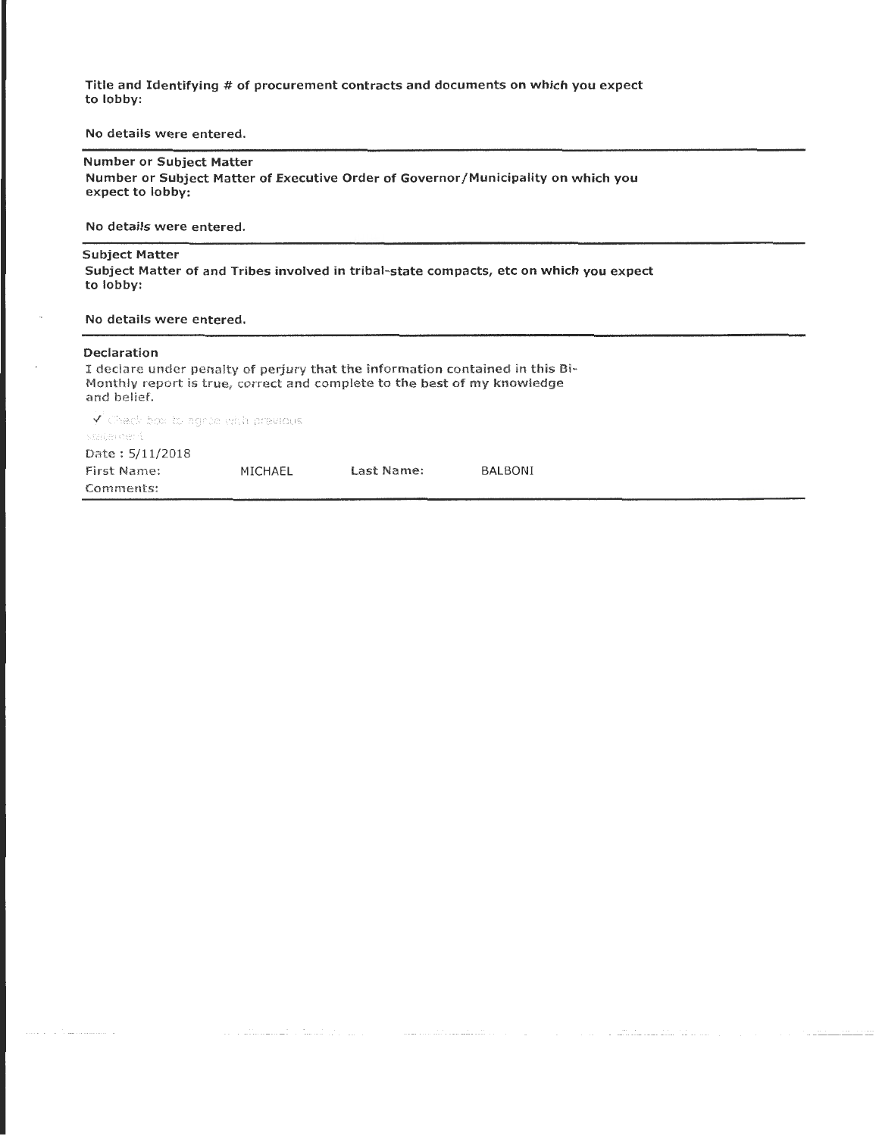Title and Identifying # of procurement contracts and documents on which you expect to lobby:

No details were entered.

# Number or Subject Matter

Number or Subject Matter of Executive Order of Governor /Municipality on which you expect to lobby:

No details were entered.

#### Subject Matter

Subject Matter of and Tribes involved in tribal-state compacts, etc on which you expect to lobby:

# No details were entered.

### Declaration

I declare under penalty of perjury that the information contained in this Bi-Monthly report is true, correct and complete to the best of my knowledge and belief. Y Check box to agree with previous

Stagenbas

Date : 5/11/2018

| First Name: I | MICHAEL | Last Name: | <b>BALBONI</b> |  |
|---------------|---------|------------|----------------|--|
| Comments: I   |         |            |                |  |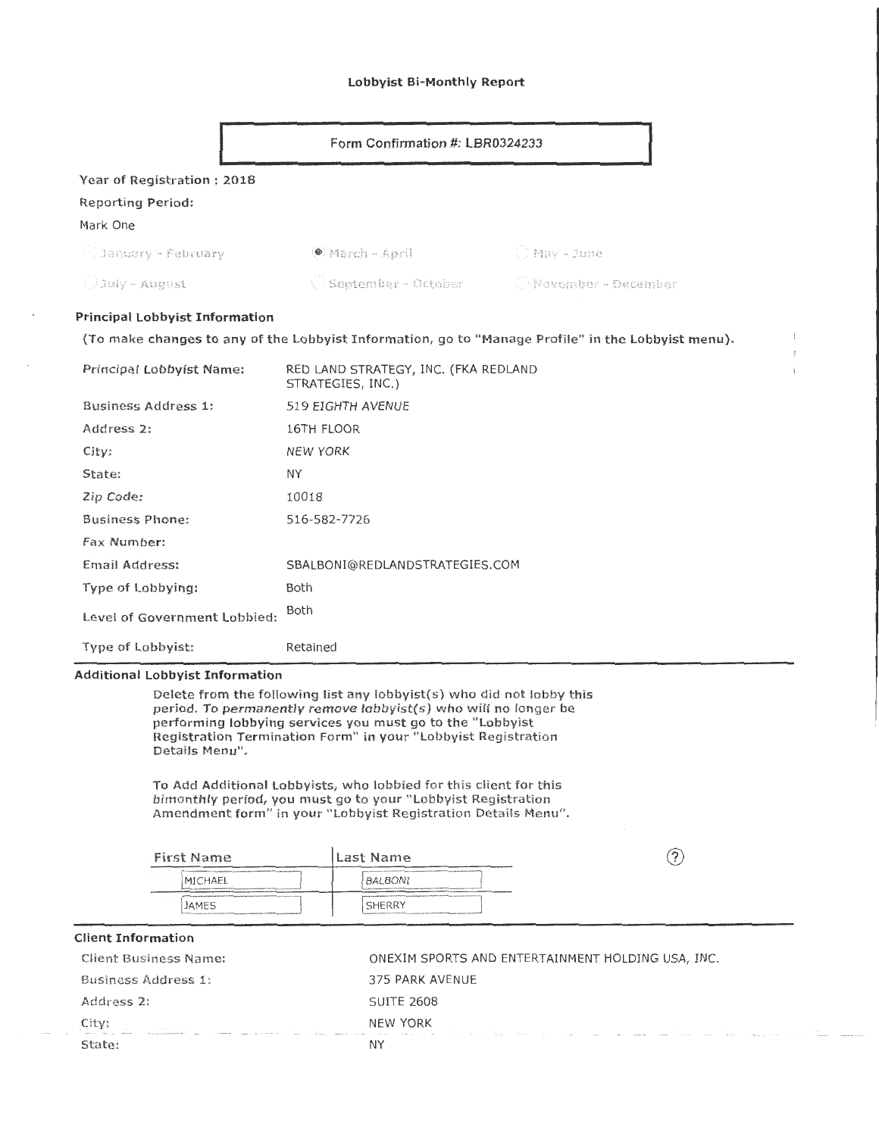## Lobbyist Bi-Monthly Report

| Form Confirmation #: LBR0324233       |                                                           |                                                                                                    |
|---------------------------------------|-----------------------------------------------------------|----------------------------------------------------------------------------------------------------|
| Year of Registration: 2018            |                                                           |                                                                                                    |
| <b>Reporting Period:</b>              |                                                           |                                                                                                    |
| Mark One                              |                                                           |                                                                                                    |
| i January - February                  | $\mathbf{Q}$ March - April                                | $C$ May $\sim$ June                                                                                |
| UJuly - August                        | September - October                                       | U November - December                                                                              |
| <b>Principal Lobbyist Information</b> |                                                           |                                                                                                    |
|                                       |                                                           | (To make changes to any of the Lobbyist Information, go to "Manage Profile" in the Lobbyist menu). |
| Principal Lobbyist Name:              | RED LAND STRATEGY, INC. (FKA REDLAND<br>STRATEGIES, INC.) |                                                                                                    |
| <b>Business Address 1:</b>            | 519 EIGHTH AVENUE                                         |                                                                                                    |
| Address 2:                            | 16TH FLOOR                                                |                                                                                                    |
| City:                                 | <b>NEW YORK</b>                                           |                                                                                                    |
| State:                                | <b>NY</b>                                                 |                                                                                                    |
| Zip Code:                             | 10018                                                     |                                                                                                    |
| <b>Business Phone:</b>                | 516-582-7726                                              |                                                                                                    |
| Fax Number:                           |                                                           |                                                                                                    |
| Email Address:                        | SBALBONI@REDLANDSTRATEGIES.COM                            |                                                                                                    |
| Type of Lobbying:                     | <b>Both</b>                                               |                                                                                                    |
| Level of Government Lobbled:          | Both                                                      |                                                                                                    |
| Type of Lobbyist:                     | Retained                                                  |                                                                                                    |

 $16.00$ ÷

# itional Lobbyist Information

Delete from the following list any lobbyist(s) who did not lobby this period. To permanently remove lobbyist(s) who will no longer be performing lobbying services you must go to the "Lobbyist Registration Termination Form" in your "Lobbyist Registration Details Menu".

To Add Additional Lobbyists, who lobbied for this client for this bimonthly period, you must go to your "Lobbyist Registration Amendment form" in your "Lobbyist Registration Details Menu".

| First Name                                                                                                                                                                                                                          | lLast Name                                                                                                                                                                                                                                                                                                                                         |  |
|-------------------------------------------------------------------------------------------------------------------------------------------------------------------------------------------------------------------------------------|----------------------------------------------------------------------------------------------------------------------------------------------------------------------------------------------------------------------------------------------------------------------------------------------------------------------------------------------------|--|
| TO PERPORT TRY FOR EXCHANGE AND CONTRACTORS OF THE ENTIRE AND CONTRACTORS AND IN<br><b>MICHAEL</b><br>International Content de alias conditations are a service in this provision and advance commentation<br><b>Sea beneficial</b> | A STANDARD COMPONENT AND RESIDENCE OF PROGRAM AND DESCRIPTION OF A STANDARD CONTINUES OF PROPERTY AND<br>BALBONI<br>The contract is an expected and described the computational description of the contract of the contract of the first of the contract of the contract of the contract of the contract of the contract of the contract of the co |  |
| A CARRIS MANAGEMENT POR REAL CARRISON AND AN ANGHANAS PORTAL CONTRACTOR<br><b>JAMES</b><br>Supervision continuous and an except management of additional and any ARCS/APPROXIMATELY CONTINUES.                                      | <b>SHERRY</b><br><b>The same with a construction of the formation and properties mentioned construction of the construction of the construction of the construction of the construction of the construction of the construction of the constructi</b>                                                                                              |  |
| <b>Client Information</b>                                                                                                                                                                                                           |                                                                                                                                                                                                                                                                                                                                                    |  |

| Client Business Name: | ONEXIM SPORTS AND ENTERTAINMENT HOLDING USA, INC. |  |
|-----------------------|---------------------------------------------------|--|
| Business Address 1:   | 375 PARK AVENUE                                   |  |
| Address 2:            | <b>SUITE 2608</b>                                 |  |
| City:                 | NEW YORK                                          |  |
| State:                | NΥ                                                |  |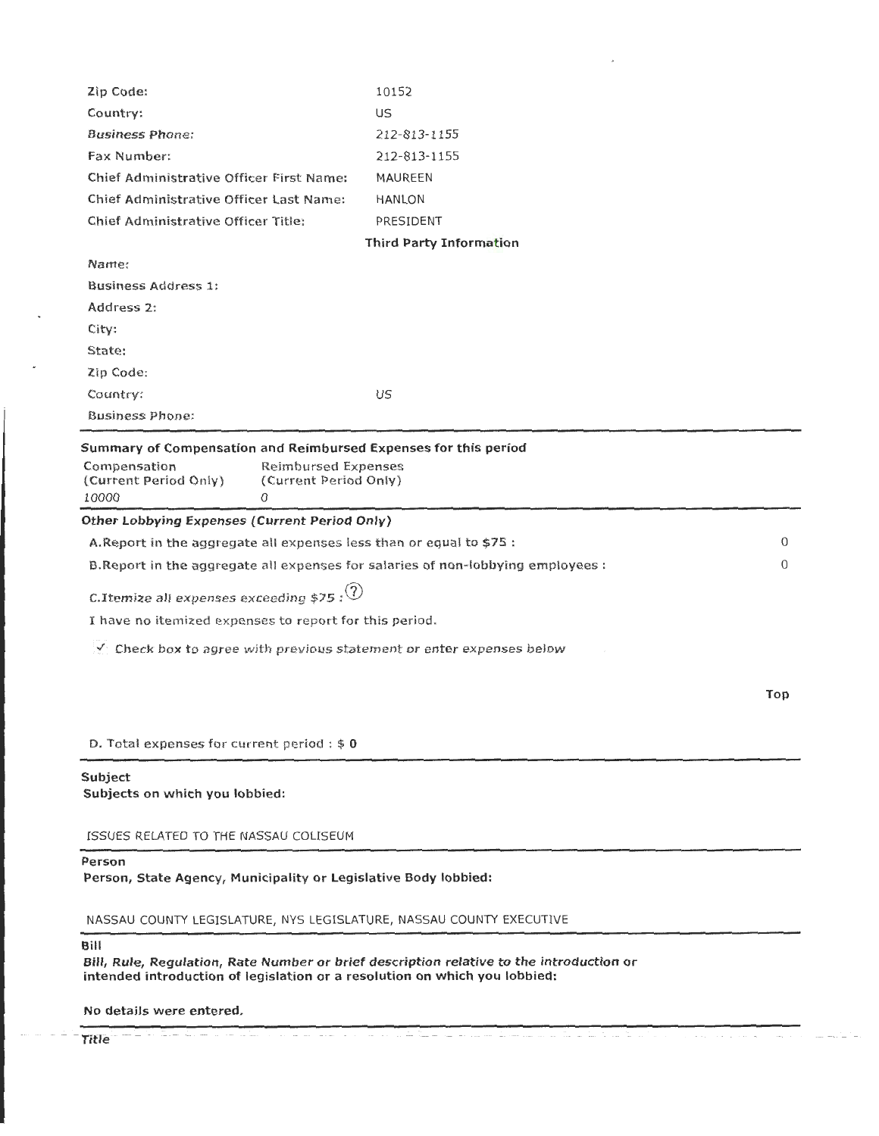| Zip Code:                                                                        | 10152                          |          |
|----------------------------------------------------------------------------------|--------------------------------|----------|
| Country:                                                                         | US                             |          |
| <b>Business Phone:</b>                                                           | 212-813-1155                   |          |
| Fax Number:                                                                      | 212-813-1155                   |          |
| Chief Administrative Officer First Name:                                         | MAUREEN                        |          |
| Chief Administrative Officer Last Name:                                          | <b>HANLON</b>                  |          |
| Chief Administrative Officer Title:                                              | PRESIDENT                      |          |
|                                                                                  | <b>Third Party Information</b> |          |
| Name:                                                                            |                                |          |
| <b>Business Address 1:</b>                                                       |                                |          |
| Address 2:                                                                       |                                |          |
| City:                                                                            |                                |          |
| State:                                                                           |                                |          |
| Zip Code:                                                                        |                                |          |
| Country:                                                                         | US                             |          |
| <b>Business Phone:</b>                                                           |                                |          |
| Summary of Compensation and Reimbursed Expenses for this period                  |                                |          |
| Compensation<br>Reimbursed Expenses                                              |                                |          |
| (Current Period Only)<br>(Current Period Only)                                   |                                |          |
| 10000<br>$\Omega$                                                                |                                |          |
| Other Lobbying Expenses (Current Period Only)                                    |                                |          |
| A. Report in the aggregate all expenses less than or equal to \$75 :             |                                | 0        |
| B. Report in the aggregate all expenses for salaries of non-lobbying employees : |                                | $\Omega$ |
| C.Itemize all expenses exceeding \$75 : $(2)$                                    |                                |          |
| I have no itemized expenses to report for this period.                           |                                |          |
| Check box to agree with previous statement or enter expenses below               |                                |          |
|                                                                                  |                                |          |
|                                                                                  |                                | Top      |
|                                                                                  |                                |          |
| D. Total expenses for current period : $$0$                                      |                                |          |
| Subject                                                                          |                                |          |
| Subjects on which you lobbied:                                                   |                                |          |
|                                                                                  |                                |          |
| ISSUES RELATED TO THE NASSAU COLISEUM                                            |                                |          |
| Person<br>Person, State Agency, Municipality or Legislative Body lobbied:        |                                |          |
|                                                                                  |                                |          |
| NASSAU COUNTY LEGISLATURE, NYS LEGISLATURE, NASSAU COUNTY EXECUTIVE              |                                |          |

Bill

Bill, Rule, Regulation, Rate Number or brief description relative to the introduction or intended introduction of legislation or a resolution on which you lobbied:

No details were entered. --··-nfre------·------